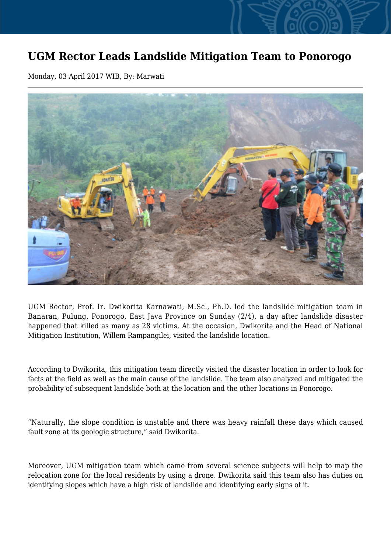## **UGM Rector Leads Landslide Mitigation Team to Ponorogo**

Monday, 03 April 2017 WIB, By: Marwati



UGM Rector, Prof. Ir. Dwikorita Karnawati, M.Sc., Ph.D. led the landslide mitigation team in Banaran, Pulung, Ponorogo, East Java Province on Sunday (2/4), a day after landslide disaster happened that killed as many as 28 victims. At the occasion, Dwikorita and the Head of National Mitigation Institution, Willem Rampangilei, visited the landslide location.

According to Dwikorita, this mitigation team directly visited the disaster location in order to look for facts at the field as well as the main cause of the landslide. The team also analyzed and mitigated the probability of subsequent landslide both at the location and the other locations in Ponorogo.

"Naturally, the slope condition is unstable and there was heavy rainfall these days which caused fault zone at its geologic structure," said Dwikorita.

Moreover, UGM mitigation team which came from several science subjects will help to map the relocation zone for the local residents by using a drone. Dwikorita said this team also has duties on identifying slopes which have a high risk of landslide and identifying early signs of it.